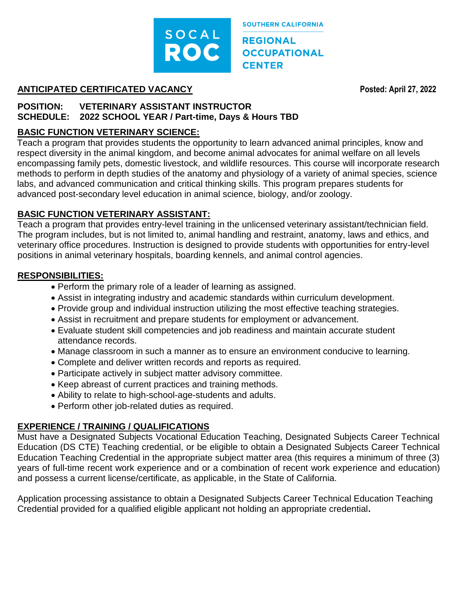

**SOUTHERN CALIFORNIA REGIONAL OCCUPATIONAL CENTER** 

#### **ANTICIPATED CERTIFICATED VACANCY Posted: April 27, 2022**

### **POSITION: VETERINARY ASSISTANT INSTRUCTOR SCHEDULE: 2022 SCHOOL YEAR / Part-time, Days & Hours TBD**

# **BASIC FUNCTION VETERINARY SCIENCE:**

Teach a program that provides students the opportunity to learn advanced animal principles, know and respect diversity in the animal kingdom, and become animal advocates for animal welfare on all levels encompassing family pets, domestic livestock, and wildlife resources. This course will incorporate research methods to perform in depth studies of the anatomy and physiology of a variety of animal species, science labs, and advanced communication and critical thinking skills. This program prepares students for advanced post-secondary level education in animal science, biology, and/or zoology.

### **BASIC FUNCTION VETERINARY ASSISTANT:**

Teach a program that provides entry-level training in the unlicensed veterinary assistant/technician field. The program includes, but is not limited to, animal handling and restraint, anatomy, laws and ethics, and veterinary office procedures. Instruction is designed to provide students with opportunities for entry-level positions in animal veterinary hospitals, boarding kennels, and animal control agencies.

# **RESPONSIBILITIES:**

- Perform the primary role of a leader of learning as assigned.
- Assist in integrating industry and academic standards within curriculum development.
- Provide group and individual instruction utilizing the most effective teaching strategies.
- Assist in recruitment and prepare students for employment or advancement.
- Evaluate student skill competencies and job readiness and maintain accurate student attendance records.
- Manage classroom in such a manner as to ensure an environment conducive to learning.
- Complete and deliver written records and reports as required.
- Participate actively in subject matter advisory committee.
- Keep abreast of current practices and training methods.
- Ability to relate to high-school-age-students and adults.
- Perform other job-related duties as required.

# **EXPERIENCE / TRAINING / QUALIFICATIONS**

Must have a Designated Subjects Vocational Education Teaching, Designated Subjects Career Technical Education (DS CTE) Teaching credential, or be eligible to obtain a Designated Subjects Career Technical Education Teaching Credential in the appropriate subject matter area (this requires a minimum of three (3) years of full-time recent work experience and or a combination of recent work experience and education) and possess a current license/certificate, as applicable, in the State of California.

Application processing assistance to obtain a Designated Subjects Career Technical Education Teaching Credential provided for a qualified eligible applicant not holding an appropriate credential**.**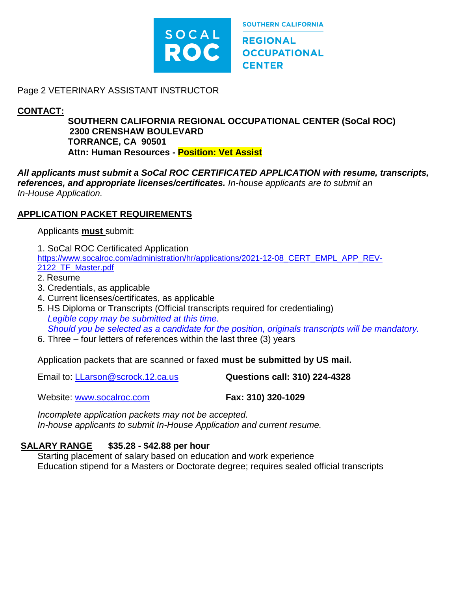

**REGIONAL OCCUPATIONAL CENTER** 

**SOUTHERN CALIFORNIA** 

#### Page 2 VETERINARY ASSISTANT INSTRUCTOR

### **CONTACT:**

**SOUTHERN CALIFORNIA REGIONAL OCCUPATIONAL CENTER (SoCal ROC) 2300 CRENSHAW BOULEVARD TORRANCE, CA 90501 Attn: Human Resources - Position: Vet Assist**

*All applicants must submit a SoCal ROC CERTIFICATED APPLICATION with resume, transcripts, references, and appropriate licenses/certificates. In-house applicants are to submit an In-House Application.* 

#### **APPLICATION PACKET REQUIREMENTS**

Applicants **must** submit:

1. SoCal ROC Certificated Application [https://www.socalroc.com/administration/hr/applications/2021-12-08\\_CERT\\_EMPL\\_APP\\_REV-](https://www.socalroc.com/administration/hr/applications/2021-12-08_CERT_EMPL_APP_REV-2122_TF_Master.pdf)

[2122\\_TF\\_Master.pdf](https://www.socalroc.com/administration/hr/applications/2021-12-08_CERT_EMPL_APP_REV-2122_TF_Master.pdf)

- 2. Resume
- 3. Credentials, as applicable
- 4. Current licenses/certificates, as applicable
- 5. HS Diploma or Transcripts (Official transcripts required for credentialing)  *Legible copy may be submitted at this time. Should you be selected as a candidate for the position, originals transcripts will be mandatory.*
- 6. Three four letters of references within the last three (3) years

Application packets that are scanned or faxed **must be submitted by US mail.**

Email to: [LLarson@scrock.12.ca.us](mailto:LLarson@scrock.12.ca.us) **Questions call: 310) 224-4328**

Website: [www.socalroc.com](http://www.socalroc.com/) **Fax: 310) 320-1029**

*Incomplete application packets may not be accepted. In-house applicants to submit In-House Application and current resume.*

### **SALARY RANGE \$35.28 - \$42.88 per hour**

Starting placement of salary based on education and work experience Education stipend for a Masters or Doctorate degree; requires sealed official transcripts